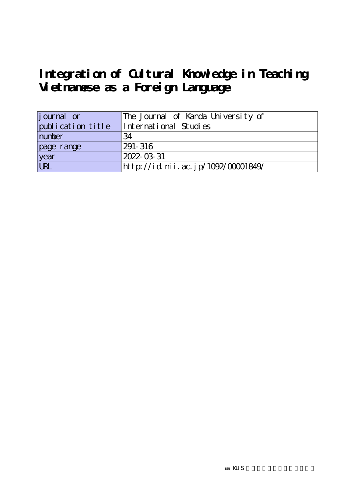# Integration of Cultural Knowledge in Teaching **Vietnamese as a Foreign Language**

| journal or        | The Journal of Kanda University of |
|-------------------|------------------------------------|
| publication title | International Studies              |
| number            | 34                                 |
| page range        | 291-316                            |
| year              | 2022-03-31                         |
| URL               | http://id.nii.ac.jp/1092/00001849/ |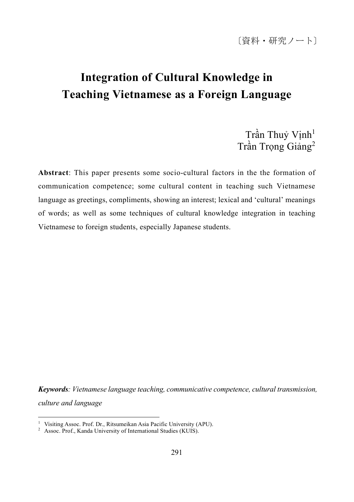# **Integration of Cultural Knowledge in Teaching Vietnamese as a Foreign Language**

Trần Thuỷ Vinh<sup>1</sup> Trần Trong Giảng<sup>2</sup>

**Abstract**: This paper presents some socio-cultural factors in the the formation of communication competence; some cultural content in teaching such Vietnamese language as greetings, compliments, showing an interest; lexical and 'cultural' meanings of words; as well as some techniques of cultural knowledge integration in teaching Vietnamese to foreign students, especially Japanese students.

*Keywords: Vietnamese language teaching, communicative competence, cultural transmission, culture and language*

<sup>&</sup>lt;sup>1</sup> Visiting Assoc. Prof. Dr., Ritsumeikan Asia Pacific University (APU).

<sup>2</sup> Assoc. Prof., Kanda University of International Studies (KUIS).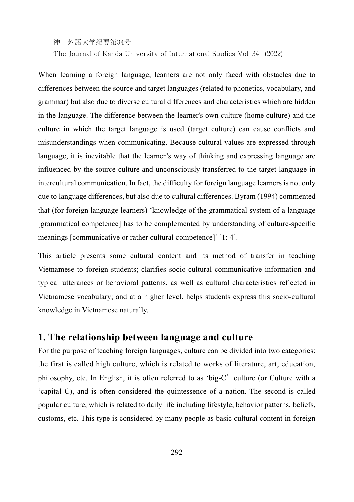The Journal of Kanda University of International Studies Vol. 34 (2022)

When learning a foreign language, learners are not only faced with obstacles due to differences between the source and target languages (related to phonetics, vocabulary, and grammar) but also due to diverse cultural differences and characteristics which are hidden in the language. The difference between the learner's own culture (home culture) and the culture in which the target language is used (target culture) can cause conflicts and misunderstandings when communicating. Because cultural values are expressed through language, it is inevitable that the learner's way of thinking and expressing language are influenced by the source culture and unconsciously transferred to the target language in intercultural communication. In fact, the difficulty for foreign language learners is not only due to language differences, but also due to cultural differences. Byram (1994) commented that (for foreign language learners) 'knowledge of the grammatical system of a language [grammatical competence] has to be complemented by understanding of culture-specific meanings [communicative or rather cultural competence]' [1: 4].

This article presents some cultural content and its method of transfer in teaching Vietnamese to foreign students; clarifies socio-cultural communicative information and typical utterances or behavioral patterns, as well as cultural characteristics reflected in Vietnamese vocabulary; and at a higher level, helps students express this socio-cultural knowledge in Vietnamese naturally.

# **1. The relationship between language and culture**

For the purpose of teaching foreign languages, culture can be divided into two categories: the first is called high culture, which is related to works of literature, art, education, philosophy, etc. In English, it is often referred to as 'big-C'culture (or Culture with a 'capital C), and is often considered the quintessence of a nation. The second is called popular culture, which is related to daily life including lifestyle, behavior patterns, beliefs, customs, etc. This type is considered by many people as basic cultural content in foreign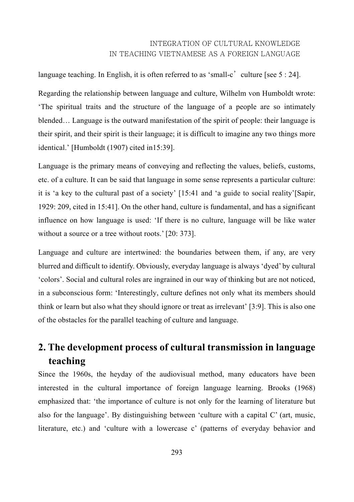language teaching. In English, it is often referred to as 'small-c' culture [see  $5:24$ ].

Regarding the relationship between language and culture, Wilhelm von Humboldt wrote: 'The spiritual traits and the structure of the language of a people are so intimately blended… Language is the outward manifestation of the spirit of people: their language is their spirit, and their spirit is their language; it is difficult to imagine any two things more identical.' [Humboldt (1907) cited in15:39].

Language is the primary means of conveying and reflecting the values, beliefs, customs, etc. of a culture. It can be said that language in some sense represents a particular culture: it is 'a key to the cultural past of a society' [15:41 and 'a guide to social reality'[Sapir, 1929: 209, cited in 15:41]. On the other hand, culture is fundamental, and has a significant influence on how language is used: 'If there is no culture, language will be like water without a source or a tree without roots.' [20: 373].

Language and culture are intertwined: the boundaries between them, if any, are very blurred and difficult to identify. Obviously, everyday language is always 'dyed' by cultural 'colors'. Social and cultural roles are ingrained in our way of thinking but are not noticed, in a subconscious form: 'Interestingly, culture defines not only what its members should think or learn but also what they should ignore or treat as irrelevant' [3:9]. This is also one of the obstacles for the parallel teaching of culture and language.

# **2. The development process of cultural transmission in language teaching**

Since the 1960s, the heyday of the audiovisual method, many educators have been interested in the cultural importance of foreign language learning. Brooks (1968) emphasized that: 'the importance of culture is not only for the learning of literature but also for the language'. By distinguishing between 'culture with a capital C' (art, music, literature, etc.) and 'culture with a lowercase c' (patterns of everyday behavior and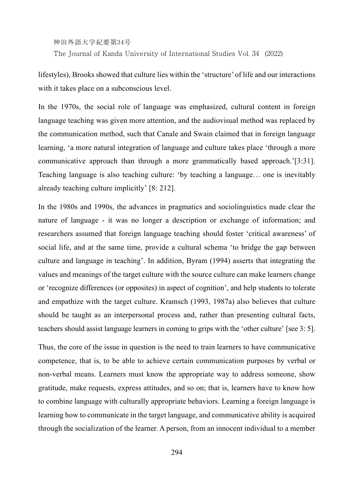神田外語大学紀要第34号 The Journal of Kanda University of International Studies Vol. 34 (2022)

lifestyles), Brooks showed that culture lies within the 'structure' of life and our interactions with it takes place on a subconscious level.

In the 1970s, the social role of language was emphasized, cultural content in foreign language teaching was given more attention, and the audiovisual method was replaced by the communication method, such that Canale and Swain claimed that in foreign language learning, 'a more natural integration of language and culture takes place 'through a more communicative approach than through a more grammatically based approach.'[3:31]. Teaching language is also teaching culture: 'by teaching a language… one is inevitably already teaching culture implicitly' [8: 212].

In the 1980s and 1990s, the advances in pragmatics and sociolinguistics made clear the nature of language - it was no longer a description or exchange of information; and researchers assumed that foreign language teaching should foster 'critical awareness' of social life, and at the same time, provide a cultural schema 'to bridge the gap between culture and language in teaching'. In addition, Byram (1994) asserts that integrating the values and meanings of the target culture with the source culture can make learners change or 'recognize differences (or opposites) in aspect of cognition', and help students to tolerate and empathize with the target culture. Kramsch (1993, 1987a) also believes that culture should be taught as an interpersonal process and, rather than presenting cultural facts, teachers should assist language learners in coming to grips with the 'other culture' [see 3: 5].

Thus, the core of the issue in question is the need to train learners to have communicative competence, that is, to be able to achieve certain communication purposes by verbal or non-verbal means. Learners must know the appropriate way to address someone, show gratitude, make requests, express attitudes, and so on; that is, learners have to know how to combine language with culturally appropriate behaviors. Learning a foreign language is learning how to communicate in the target language, and communicative ability is acquired through the socialization of the learner. A person, from an innocent individual to a member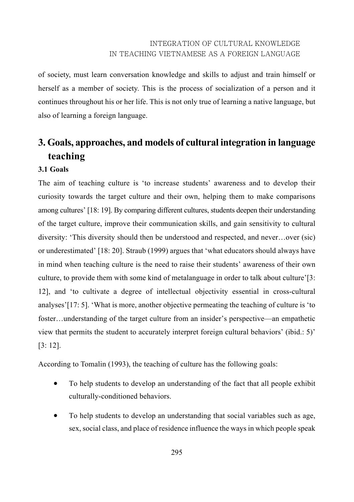of society, must learn conversation knowledge and skills to adjust and train himself or herself as a member of society. This is the process of socialization of a person and it continues throughout his or her life. This is not only true of learning a native language, but also of learning a foreign language.

# **3. Goals, approaches, and models of cultural integration in language teaching**

#### **3.1 Goals**

The aim of teaching culture is 'to increase students' awareness and to develop their curiosity towards the target culture and their own, helping them to make comparisons among cultures' [18: 19]. By comparing different cultures, students deepen their understanding of the target culture, improve their communication skills, and gain sensitivity to cultural diversity: 'This diversity should then be understood and respected, and never…over (sic) or underestimated' [18: 20]. Straub (1999) argues that 'what educators should always have in mind when teaching culture is the need to raise their students' awareness of their own culture, to provide them with some kind of metalanguage in order to talk about culture'[3: 12], and 'to cultivate a degree of intellectual objectivity essential in cross-cultural analyses'[17: 5]. 'What is more, another objective permeating the teaching of culture is 'to foster…understanding of the target culture from an insider's perspective—an empathetic view that permits the student to accurately interpret foreign cultural behaviors' (ibid.: 5)' [3: 12].

According to Tomalin (1993), the teaching of culture has the following goals:

- To help students to develop an understanding of the fact that all people exhibit culturally-conditioned behaviors.
- To help students to develop an understanding that social variables such as age, sex, social class, and place of residence influence the ways in which people speak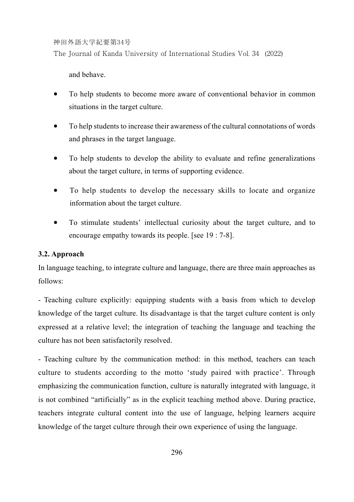The Journal of Kanda University of International Studies Vol. 34 (2022)

and behave.

- To help students to become more aware of conventional behavior in common situations in the target culture.
- To help students to increase their awareness of the cultural connotations of words and phrases in the target language.
- To help students to develop the ability to evaluate and refine generalizations about the target culture, in terms of supporting evidence.
- To help students to develop the necessary skills to locate and organize information about the target culture.
- To stimulate students' intellectual curiosity about the target culture, and to encourage empathy towards its people. [see 19 : 7-8].

#### **3.2. Approach**

In language teaching, to integrate culture and language, there are three main approaches as follows:

- Teaching culture explicitly: equipping students with a basis from which to develop knowledge of the target culture. Its disadvantage is that the target culture content is only expressed at a relative level; the integration of teaching the language and teaching the culture has not been satisfactorily resolved.

- Teaching culture by the communication method: in this method, teachers can teach culture to students according to the motto 'study paired with practice'. Through emphasizing the communication function, culture is naturally integrated with language, it is not combined "artificially" as in the explicit teaching method above. During practice, teachers integrate cultural content into the use of language, helping learners acquire knowledge of the target culture through their own experience of using the language.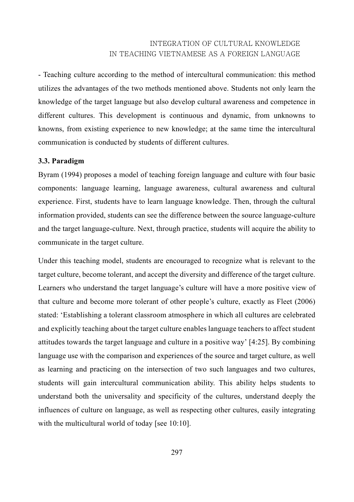- Teaching culture according to the method of intercultural communication: this method utilizes the advantages of the two methods mentioned above. Students not only learn the knowledge of the target language but also develop cultural awareness and competence in different cultures. This development is continuous and dynamic, from unknowns to knowns, from existing experience to new knowledge; at the same time the intercultural communication is conducted by students of different cultures.

#### **3.3. Paradigm**

Byram (1994) proposes a model of teaching foreign language and culture with four basic components: language learning, language awareness, cultural awareness and cultural experience. First, students have to learn language knowledge. Then, through the cultural information provided, students can see the difference between the source language-culture and the target language-culture. Next, through practice, students will acquire the ability to communicate in the target culture.

Under this teaching model, students are encouraged to recognize what is relevant to the target culture, become tolerant, and accept the diversity and difference of the target culture. Learners who understand the target language's culture will have a more positive view of that culture and become more tolerant of other people's culture, exactly as Fleet (2006) stated: 'Establishing a tolerant classroom atmosphere in which all cultures are celebrated and explicitly teaching about the target culture enables language teachers to affect student attitudes towards the target language and culture in a positive way' [4:25]. By combining language use with the comparison and experiences of the source and target culture, as well as learning and practicing on the intersection of two such languages and two cultures, students will gain intercultural communication ability. This ability helps students to understand both the universality and specificity of the cultures, understand deeply the influences of culture on language, as well as respecting other cultures, easily integrating with the multicultural world of today [see 10:10].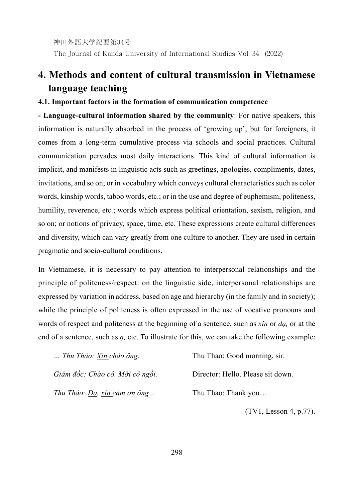神田外語大学紀要第34号 The Journal of Kanda University of International Studies Vol. 34 (2022)

# **4. Methods and content of cultural transmission in Vietnamese language teaching**

#### **4.1. Important factors in the formation of communication competence**

**- Language-cultural information shared by the community**: For native speakers, this information is naturally absorbed in the process of 'growing up', but for foreigners, it comes from a long-term cumulative process via schools and social practices. Cultural communication pervades most daily interactions. This kind of cultural information is implicit, and manifests in linguistic acts such as greetings, apologies, compliments, dates, invitations, and so on; or in vocabulary which conveys cultural characteristics such as color words, kinship words, taboo words, etc.; or in the use and degree of euphemism, politeness, humility, reverence, etc.; words which express political orientation, sexism, religion, and so on; or notions of privacy, space, time, etc. These expressions create cultural differences and diversity, which can vary greatly from one culture to another. They are used in certain pragmatic and socio-cultural conditions.

In Vietnamese, it is necessary to pay attention to interpersonal relationships and the principle of politeness/respect: on the linguistic side, interpersonal relationships are expressed by variation in address, based on age and hierarchy (in the family and in society); while the principle of politeness is often expressed in the use of vocative pronouns and words of respect and politeness at the beginning of a sentence, such as *xin* or *dạ,* or at the end of a sentence, such as *ạ,* etc. To illustrate for this, we can take the following example:

| Thu Thảo: Xin chào ông.         | Thu Thao: Good morning, sir.      |
|---------------------------------|-----------------------------------|
| Giám đốc: Chào cô. Mời cô ngồi. | Director: Hello. Please sit down. |
| Thu Thảo: Da, xin cảm ơn ông    | Thu Thao: Thank you               |

(TV1, Lesson 4, p.77).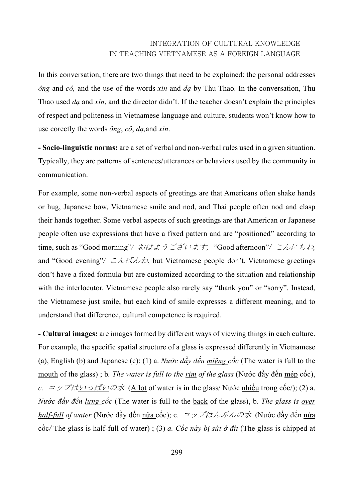In this conversation, there are two things that need to be explained: the personal addresses *ông* and *cô,* and the use of the words *xin* and *dạ* by Thu Thao. In the conversation, Thu Thao used *dạ* and *xin*, and the director didn't. If the teacher doesn't explain the principles of respect and politeness in Vietnamese language and culture, students won't know how to use corectly the words *ông*, *cô*, *dạ,*and *xin*.

**- Socio-linguistic norms:** are a set of verbal and non-verbal rules used in a given situation. Typically, they are patterns of sentences/utterances or behaviors used by the community in communication.

For example, some non-verbal aspects of greetings are that Americans often shake hands or hug, Japanese bow, Vietnamese smile and nod, and Thai people often nod and clasp their hands together. Some verbal aspects of such greetings are that American or Japanese people often use expressions that have a fixed pattern and are "positioned" according to time, such as "Good morning"*/* おはようございます, "Good afternoon"*/* こんにちわ*,* and "Good evening"*/* こんばんわ, but Vietnamese people don't. Vietnamese greetings don't have a fixed formula but are customized according to the situation and relationship with the interlocutor. Vietnamese people also rarely say "thank you" or "sorry". Instead, the Vietnamese just smile, but each kind of smile expresses a different meaning, and to understand that difference, cultural competence is required.

**- Cultural images:** are images formed by different ways of viewing things in each culture. For example, the specific spatial structure of a glass is expressed differently in Vietnamese (a), English (b) and Japanese (c): (1) a. *Nước đầy đến miệng cốc* (The water is full to the mouth of the glass) ; b*. The water is full to the rim of the glass* (Nước đầy đến mép cốc), *c.*  $\exists y \mathcal{P}/\exists t \rightarrow \mathcal{C}$   $\mathcal{P}/\mathcal{P}$  (A lot of water is in the glass/ Nước nhiều trong cốc/); (2) a. *Nước đầy đến lưng cốc* (The water is full to the back of the glass), b. *The glass is over half-full of water* (Nước đầy đến nửa cốc); c. コップはんぶんの水 (Nước đầy đến nửa cốc*/* The glass is half-full of water) ; (3) *a. Cốc này bị sứt ở đít* (The glass is chipped at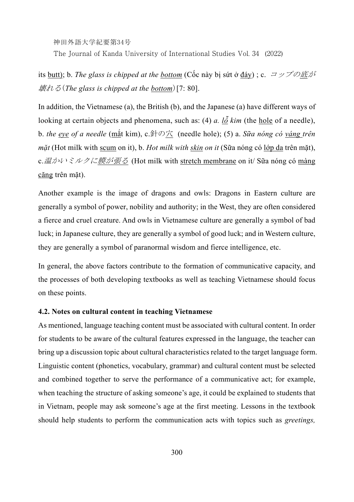神田外語大学紀要第34号 The Journal of Kanda University of International Studies Vol. 34 (2022)

its butt); b. *The glass is chipped at the bottom* (Cốc này bị sứt ở đáy) ; c. コップの底が 壊れる(*The glass is chipped at the bottom*)[7: 80].

In addition, the Vietnamese (a), the British (b), and the Japanese (a) have different ways of looking at certain objects and phenomena, such as: (4) *a. lỗ kim* (the hole of a needle), b. *the eye of a needle* (mắt kim), c.針の穴 (needle hole); (5) a. *Sữa nóng có váng trên mặt* (Hot milk with scum on it), b. *Hot milk with skin on it* (Sữa nóng có lớp da trên mặt), c.温かいミルクに膜<u>が張る</u> (Hot milk with stretch membrane on it/ Sữa nóng có màng căng trên mặt).

Another example is the image of dragons and owls: Dragons in Eastern culture are generally a symbol of power, nobility and authority; in the West, they are often considered a fierce and cruel creature. And owls in Vietnamese culture are generally a symbol of bad luck; in Japanese culture, they are generally a symbol of good luck; and in Western culture, they are generally a symbol of paranormal wisdom and fierce intelligence, etc.

In general, the above factors contribute to the formation of communicative capacity, and the processes of both developing textbooks as well as teaching Vietnamese should focus on these points.

#### **4.2. Notes on cultural content in teaching Vietnamese**

As mentioned, language teaching content must be associated with cultural content. In order for students to be aware of the cultural features expressed in the language, the teacher can bring up a discussion topic about cultural characteristics related to the target language form. Linguistic content (phonetics, vocabulary, grammar) and cultural content must be selected and combined together to serve the performance of a communicative act; for example, when teaching the structure of asking someone's age, it could be explained to students that in Vietnam, people may ask someone's age at the first meeting. Lessons in the textbook should help students to perform the communication acts with topics such as *greetings,*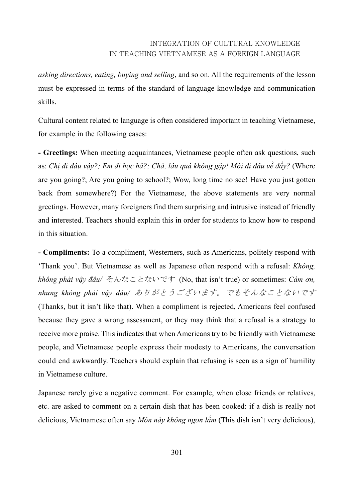*asking directions, eating, buying and selling*, and so on. All the requirements of the lesson must be expressed in terms of the standard of language knowledge and communication skills.

Cultural content related to language is often considered important in teaching Vietnamese, for example in the following cases:

**- Greetings:** When meeting acquaintances, Vietnamese people often ask questions, such as: Chị đi đâu vậy?; Em đi học hả?; Chà, lâu quá không gặp! Mới đi đâu về đấy? (Where are you going?; Are you going to school?; Wow, long time no see! Have you just gotten back from somewhere?) For the Vietnamese, the above statements are very normal greetings. However, many foreigners find them surprising and intrusive instead of friendly and interested. Teachers should explain this in order for students to know how to respond in this situation.

**- Compliments:** To a compliment, Westerners, such as Americans, politely respond with 'Thank you'. But Vietnamese as well as Japanese often respond with a refusal: *Không, không phải vậy đâu/* そんなことないです (No, that isn't true) or sometimes: *Cám ơn, nhưng không phải vậy đâu/* ありがとうございます。でもそんなことないです (Thanks, but it isn't like that). When a compliment is rejected, Americans feel confused because they gave a wrong assessment, or they may think that a refusal is a strategy to receive more praise. This indicates that when Americans try to be friendly with Vietnamese people, and Vietnamese people express their modesty to Americans, the conversation could end awkwardly. Teachers should explain that refusing is seen as a sign of humility in Vietnamese culture.

Japanese rarely give a negative comment. For example, when close friends or relatives, etc. are asked to comment on a certain dish that has been cooked: if a dish is really not delicious, Vietnamese often say *Món này không ngon lắm* (This dish isn't very delicious),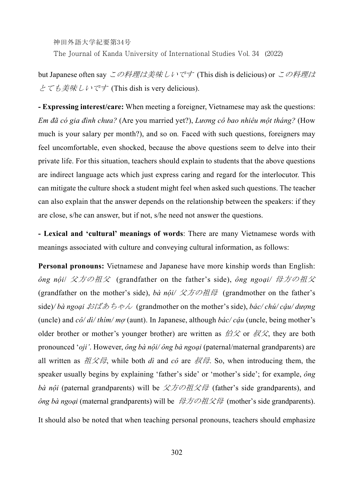The Journal of Kanda University of International Studies Vol. 34 (2022)

but Japanese often say この料理は美味しいです (This dish is delicious) or この料理は とても美味しいです (This dish is very delicious).

**- Expressing interest/care:** When meeting a foreigner, Vietnamese may ask the questions: *Em đã có gia đình chưa?* (Are you married yet?), *Lương cô bao nhiêu một tháng?* (How much is your salary per month?), and so on*.* Faced with such questions, foreigners may feel uncomfortable, even shocked, because the above questions seem to delve into their private life. For this situation, teachers should explain to students that the above questions are indirect language acts which just express caring and regard for the interlocutor. This can mitigate the culture shock a student might feel when asked such questions. The teacher can also explain that the answer depends on the relationship between the speakers: if they are close, s/he can answer, but if not, s/he need not answer the questions.

**- Lexical and 'cultural' meanings of words**: There are many Vietnamese words with meanings associated with culture and conveying cultural information, as follows:

**Personal pronouns:** Vietnamese and Japanese have more kinship words than English: *ông nội*/ 父方の祖父 (grandfather on the father's side), *ông ngoại/* 母方の祖父 (grandfather on the mother's side), *bà nội/* 父方の祖母 (grandmother on the father's side)*/ bà ngoại* おばあちゃん (grandmother on the mother's side), *bác/ chú/ cậu/ dượng*  (uncle) and *cô/ dì/ thím/ mợ* (aunt). In Japanese, although *bác/ cậu* (uncle, being mother's older brother or mother's younger brother) are written as  $\beta \rightarrow \infty$  or  $\beta \rightarrow \infty$ , they are both pronounced '*oji'*. However, *ông bà nội/ ông bà ngoại* (paternal/maternal grandparents) are all written as  $\hat{H}\hat{X}\hat{H}$ , while both *dì* and  $c\hat{o}$  are  $\hat{R}\hat{H}$ . So, when introducing them, the speaker usually begins by explaining 'father's side' or 'mother's side'; for example, *ông bà nội* (paternal grandparents) will be 父方の祖父母 (father's side grandparents), and *ông bà ngoại* (maternal grandparents) will be 母方の祖父母 (mother's side grandparents).

It should also be noted that when teaching personal pronouns, teachers should emphasize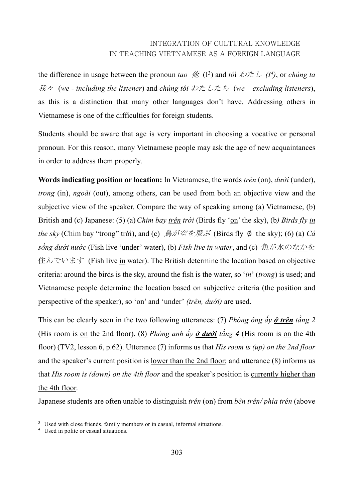the difference in usage between the pronoun *tao*  $\hat{f}$  (I<sup>3</sup>) and *tô*i  $\hat{\phi}$   $\hat{\phi}$   $\hat{\phi}$  (I<sup>4</sup>), or *chúng ta* 我々 (*we - including the listener*) and *chúng tôi* わたしたち (*we – excluding listeners*), as this is a distinction that many other languages don't have. Addressing others in Vietnamese is one of the difficulties for foreign students.

Students should be aware that age is very important in choosing a vocative or personal pronoun. For this reason, many Vietnamese people may ask the age of new acquaintances in order to address them properly.

**Words indicating position or location:** In Vietnamese, the words *trên* (on), *dưới* (under), *trong* (in), *ngoài* (out), among others, can be used from both an objective view and the subjective view of the speaker. Compare the way of speaking among (a) Vietnamese, (b) British and (c) Japanese: (5) (a)*Chim bay trên trời* (Birds fly 'on' the sky), (b*) Birds fly in the sky* (Chim bay "trong" trời), and (c)  $\hat{\beta}$  が空を飛ぶ (Birds fly Ø the sky); (6) (a) *Cá sống dưới nước* (Fish live 'under' water), (b) *Fish live in water*, and (c) 魚が水のなかを 住んでいます (Fish live in water). The British determine the location based on objective criteria: around the birds is the sky, around the fish is the water, so '*in*' (*trong*) is used; and Vietnamese people determine the location based on subjective criteria (the position and perspective of the speaker), so 'on' and 'under' *(trên, dưới)* are used.

This can be clearly seen in the two following utterances: (7) *Phòng ông ấy ở trên tầng 2*  (His room is on the 2nd floor), (8) *Phòng anh ấy ở dưới tầng 4* (His room is on the 4th floor) (TV2, lesson 6, p.62). Utterance (7) informs us that *His room is (up) on the 2nd floor* and the speaker's current position is <u>lower than the 2nd floor</u>; and utterance (8) informs us that *His room is (down) on the 4th floor* and the speaker's position is currently higher than the 4th floor.

Japanese students are often unable to distinguish *trên* (on) from *bên trên/ phía trên* (above

<sup>&</sup>lt;sup>3</sup> Used with close friends, family members or in casual, informal situations.

<sup>4</sup> Used in polite or casual situations.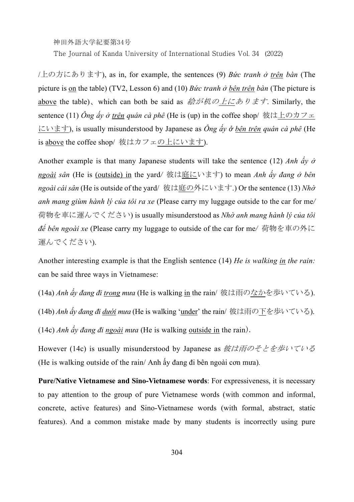The Journal of Kanda University of International Studies Vol. 34 (2022)

/上の方にあります), as in, for example, the sentences (9) *Bức tranh ở trên bàn* (The picture is on the table) (TV2, Lesson 6) and (10) *Bức tranh ở bên trên bàn* (The picture is above the table)、which can both be said as 絵が机の上にあります. Similarly, the sentence (11) *Ông ấy ở trên quán cà phê* (He is (up) in the coffee shop/ 彼は上のカフェ にいます), is usually misunderstood by Japanese as *Ông ấy ở bên trên quán cà phê* (He is above the coffee shop/彼はカフェの上にいます).

Another example is that many Japanese students will take the sentence (12) *Anh ấy ở ngoài sân* (He is (outside) in the yard*/* 彼は庭にいます) to mean *Anh ấy đang ở bên ngoài cái sân* (He is outside of the yard/ 彼は庭の外にいます.) Or the sentence (13) *Nhờ anh mang giùm hành lý của tôi ra xe* (Please carry my luggage outside to the car for me*/*  荷物を車に運んでください) is usually misunderstood as *Nhờ anh mang hành lý của tôi để bên ngoài xe* (Please carry my luggage to outside of the car for me*/* 荷物を車の外に 運んでください).

Another interesting example is that the English sentence (14) *He is walking in the rain:* can be said three ways in Vietnamese:

(14a) *Anh ấy đang đi trong mưa* (He is walking in the rain/ 彼は雨のなかを歩いている). (14b) *Anh ấy đang đi dưới mưa* (He is walking 'under' the rain/ 彼は雨の下を歩いている). (14c) *Anh ấy đang đi ngoài mưa* (He is walking outside in the rain).

However (14c) is usually misunderstood by Japanese as 彼は雨のそとを歩いている (He is walking outside of the rain/ Anh ấy đang đi bên ngoài cơn mưa)*.*

**Pure/Native Vietnamese and Sino-Vietnamese words**: For expressiveness, it is necessary to pay attention to the group of pure Vietnamese words (with common and informal, concrete, active features) and Sino-Vietnamese words (with formal, abstract, static features). And a common mistake made by many students is incorrectly using pure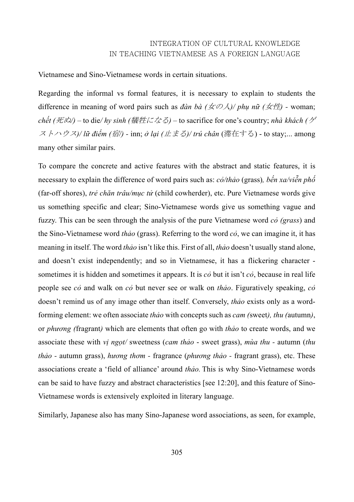Vietnamese and Sino-Vietnamese words in certain situations.

Regarding the informal vs formal features, it is necessary to explain to students the difference in meaning of word pairs such as *đàn bà (*女の人*)/ phụ nữ (*女性*) -* woman; *chết (*死ぬ*/) –* to die*/ hy sinh (*犠牲になる*)* – to sacrifice for one's country; *nhà khách (*ゲ ストハウス*)/ lữ điếm (*宿*/) -* inn; *ở lại (*止まる*)/ trú chân* (滞在する) - to stay;... among many other similar pairs.

To compare the concrete and active features with the abstract and static features, it is necessary to explain the difference of word pairs such as: *cỏ/thảo* (grass)*, bến xa/viễn phố* (far-off shores), *trẻ chăn trâu/mục tử* (child cowherder), etc. Pure Vietnamese words give us something specific and clear; Sino-Vietnamese words give us something vague and fuzzy. This can be seen through the analysis of the pure Vietnamese word *cỏ (grass*) and the Sino-Vietnamese word *thảo* (grass). Referring to the word *cỏ*, we can imagine it, it has meaning in itself. The word *thảo* isn't like this. First of all, *thảo* doesn't usually stand alone, and doesn't exist independently; and so in Vietnamese, it has a flickering character sometimes it is hidden and sometimes it appears. It is *cỏ* but it isn't *cỏ*, because in real life people see *cỏ* and walk on *cỏ* but never see or walk on *thảo*. Figuratively speaking, *cỏ* doesn't remind us of any image other than itself. Conversely, *thảo* exists only as a wordforming element: we often associate *thảo* with concepts such as *cam (*sweet*), thu (*autumn*)*, or *phương (*fragrant*)* which are elements that often go with *thảo* to create words, and we associate these with *vị ngọt/* sweetness (*cam thảo* - sweet grass), *mùa thu -* autumn (*thu thảo -* autumn grass), *hương thơm -* fragrance (*phương thảo -* fragrant grass), etc. These associations create a 'field of alliance' around *thảo.* This is why Sino-Vietnamese words can be said to have fuzzy and abstract characteristics [see 12:20], and this feature of Sino-Vietnamese words is extensively exploited in literary language.

Similarly, Japanese also has many Sino-Japanese word associations, as seen, for example,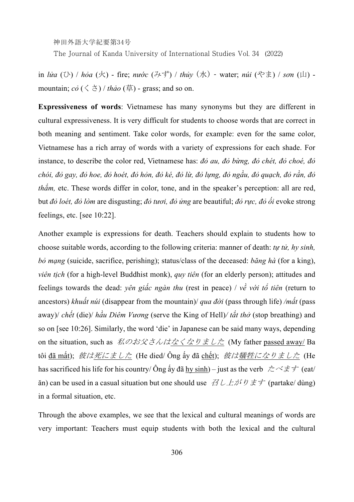神田外語大学紀要第34号 The Journal of Kanda University of International Studies Vol. 34 (2022)

in *lửa* (ひ) / *hỏa* (火) - fire; *nước* (みず) / *thủy* (水) - water; *núi* (やま) / *sơn* (山) mountain;  $c\delta$  ( $\leq$   $\geq$ ) / *thảo* (草) - grass; and so on.

**Expressiveness of words**: Vietnamese has many synonyms but they are different in cultural expressiveness. It is very difficult for students to choose words that are correct in both meaning and sentiment. Take color words, for example: even for the same color, Vietnamese has a rich array of words with a variety of expressions for each shade. For instance, to describe the color red, Vietnamese has: *đỏ au, đỏ bừng, đỏ chét, đỏ choé, đỏ* chói, đỏ gay, đỏ hoe, đỏ hoét, đỏ hỏn, đỏ ké, đỏ lừ, đỏ lưng, đỏ ngầu, đỏ quach, đỏ rần, đỏ *thắm,* etc. These words differ in color, tone, and in the speaker's perception: all are red, but *đỏ loét, đỏ lòm* are disgusting; *đỏ tươi, đỏ ửng* are beautiful; *đỏ rực, đỏ ối* evoke strong feelings, etc. [see 10:22].

Another example is expressions for death. Teachers should explain to students how to choose suitable words, according to the following criteria: manner of death: *tự tử, hy sinh, bỏ mạng* (suicide, sacrifice, perishing); status/class of the deceased: *băng hà* (for a king), *viên tich* (for a high-level Buddhist monk), *quy tiên* (for an elderly person); attitudes and feelings towards the dead: *yên giấc ngàn thu* (rest in peace) / *về với tổ tiên* (return to ancestors) *khuất núi* (disappear from the mountain)/ *qua đời* (pass through life) */mất* (pass away)/ *chết* (die)/ *hầu Diêm Vương* (serve the King of Hell)*/ tắt thở* (stop breathing) and so on [see 10:26]. Similarly, the word 'die' in Japanese can be said many ways, depending on the situation, such as 私のお父さんはなくなりました (My father passed away/ Ba tôi <u>đã mất</u>); *彼は<u>死にました</u>* (He died/ Ông ấy đã chết); *彼は犠牲になりました* (He has sacrificed his life for his country/ $\hat{O}$ ng ấy đã hy sinh) – just as the verb  $\hat{\mathcal{L}} \times \hat{\mathcal{F}}$  (eat/ ăn) can be used in a casual situation but one should use  $\mathcal{Z} L \mathcal{L} \mathcal{N} \mathcal{Y} \neq \mathcal{F}$  (partake/dùng) in a formal situation, etc.

Through the above examples, we see that the lexical and cultural meanings of words are very important: Teachers must equip students with both the lexical and the cultural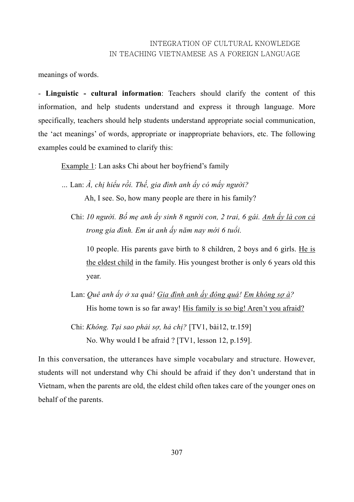meanings of words.

- **Linguistic - cultural information**: Teachers should clarify the content of this information, and help students understand and express it through language. More specifically, teachers should help students understand appropriate social communication, the 'act meanings' of words, appropriate or inappropriate behaviors, etc. The following examples could be examined to clarify this:

Example 1: Lan asks Chi about her boyfriend's family

- *…* Lan: *À, chị hiểu rồi. Thế, gia đình anh ấy có mấy người?*  Ah, I see. So, how many people are there in his family?
	- Chi: *10 người. Bố mẹ anh ấy sinh 8 người con, 2 trai, 6 gái. Anh ấy là con cả trong gia đình. Em út anh ấy năm nay mới 6 tuổi.*

10 people. His parents gave birth to 8 children, 2 boys and 6 girls. He is the eldest child in the family. His youngest brother is only 6 years old this year.

Lan: *Quê anh ấy ở xa quá! Gia đình anh ấy đông quá! Em không sợ à?*  His home town is so far away! His family is so big! Aren't you afraid?

Chi: *Không. Tại sao phải sợ, hả chị?* [TV1, bài12, tr.159] No. Why would I be afraid ? [TV1, lesson 12, p.159].

In this conversation, the utterances have simple vocabulary and structure. However, students will not understand why Chi should be afraid if they don't understand that in Vietnam, when the parents are old, the eldest child often takes care of the younger ones on behalf of the parents.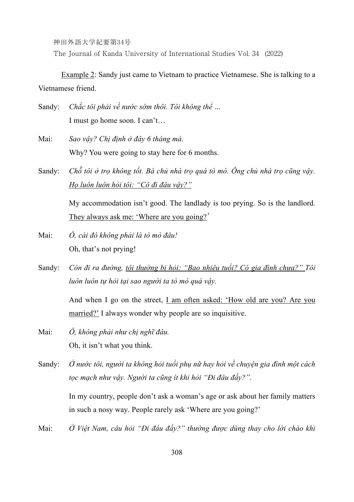The Journal of Kanda University of International Studies Vol. 34 (2022)

Example 2: Sandy just came to Vietnam to practice Vietnamese. She is talking to a Vietnamese friend.

- Sandy: *Chắc tôi phải về nước sớm thôi. Tôi không thể …*  I must go home soon. I can't…
- Mai: *Sao vậy? Chị định ở đây 6 tháng mà.*  Why? You were going to stay here for 6 months.
- Sandy: Chỗ tôi ở tro không tốt. Bà chủ nhà tro quá tò mò. Ông chủ nhà tro cũng vậy. *Họ luôn luôn hỏi tôi: "Cô đi đâu vậy?"*

My accommodation isn't good. The landlady is too prying. So is the landlord. They always ask me: 'Where are you going?'

- Mai: *Ồ, cái đó không phải là tò mò đâu!* Oh, that's not prying!
- Sandy: *Còn đi ra đường, tôi thường bị hỏi: "Bao nhiêu tuổi? Có gia đình chưa?" Tôi luôn luôn tự hỏi tại sao người ta tò mò quá vậy.*

 And when I go on the street, I am often asked: 'How old are you? Are you married?' I always wonder why people are so inquisitive.

- Mai: *Ồ, không phải như chị nghĩ đâu.* Oh, it isn't what you think.
- Sandy: Ở nước tôi, người ta không hỏi tuổi phụ nữ hay hỏi về chuyên gia đình một cách *tọc mạch như vậy. Người ta cũng ít khi hỏi "Đi đâu đấy?".*

 In my country, people don't ask a woman's age or ask about her family matters in such a nosy way. People rarely ask 'Where are you going?'

Mai: *Ở Việt Nam, câu hỏi "Đi đâu đấy?" thường được dùng thay cho lời chào khi*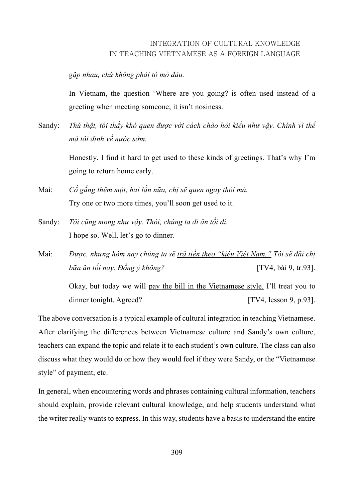*gặp nhau, chứ không phải tò mò đâu.* 

 In Vietnam, the question 'Where are you going? is often used instead of a greeting when meeting someone; it isn't nosiness.

Sandy: *Thú thật, tôi thấy khó quen được với cách chào hỏi kiểu như vậy. Chính vì thế mà tôi định về nước sớm.* 

> Honestly, I find it hard to get used to these kinds of greetings. That's why I'm going to return home early.

- Mai: *Cố gắng thêm một, hai lần nữa, chị sẽ quen ngay thôi mà.*  Try one or two more times, you'll soon get used to it.
- Sandy: *Tôi cũng mong như vậy. Thôi, chúng ta đi ăn tối đi.*  I hope so. Well, let's go to dinner.
- Mai: *Được, nhưng hôm nay chúng ta sẽ trả tiền theo "kiểu Việt Nam." Tôi sẽ đãi chị bữa ăn tối nay. Đồng ý không?* [TV4, bài 9, tr.93].

 Okay, but today we will pay the bill in the Vietnamese style. I'll treat you to dinner tonight. Agreed? [TV4, lesson 9, p.93].

The above conversation is a typical example of cultural integration in teaching Vietnamese. After clarifying the differences between Vietnamese culture and Sandy's own culture, teachers can expand the topic and relate it to each student's own culture. The class can also discuss what they would do or how they would feel if they were Sandy, or the "Vietnamese style" of payment, etc.

In general, when encountering words and phrases containing cultural information, teachers should explain, provide relevant cultural knowledge, and help students understand what the writer really wants to express. In this way, students have a basis to understand the entire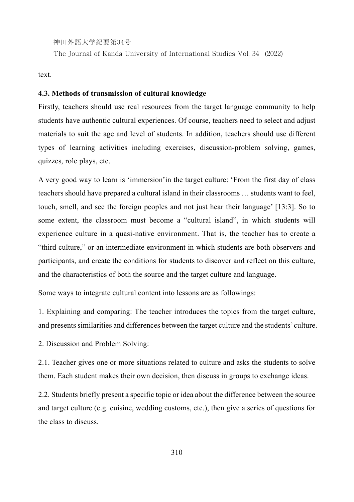The Journal of Kanda University of International Studies Vol. 34 (2022)

text.

#### **4.3. Methods of transmission of cultural knowledge**

Firstly, teachers should use real resources from the target language community to help students have authentic cultural experiences. Of course, teachers need to select and adjust materials to suit the age and level of students. In addition, teachers should use different types of learning activities including exercises, discussion-problem solving, games, quizzes, role plays, etc.

A very good way to learn is 'immersion'in the target culture: 'From the first day of class teachers should have prepared a cultural island in their classrooms … students want to feel, touch, smell, and see the foreign peoples and not just hear their language' [13:3]. So to some extent, the classroom must become a "cultural island", in which students will experience culture in a quasi-native environment. That is, the teacher has to create a "third culture," or an intermediate environment in which students are both observers and participants, and create the conditions for students to discover and reflect on this culture, and the characteristics of both the source and the target culture and language.

Some ways to integrate cultural content into lessons are as followings:

1. Explaining and comparing: The teacher introduces the topics from the target culture, and presents similarities and differences between the target culture and the students' culture.

2. Discussion and Problem Solving:

2.1. Teacher gives one or more situations related to culture and asks the students to solve them. Each student makes their own decision, then discuss in groups to exchange ideas.

2.2. Students briefly present a specific topic or idea about the difference between the source and target culture (e.g. cuisine, wedding customs, etc.), then give a series of questions for the class to discuss.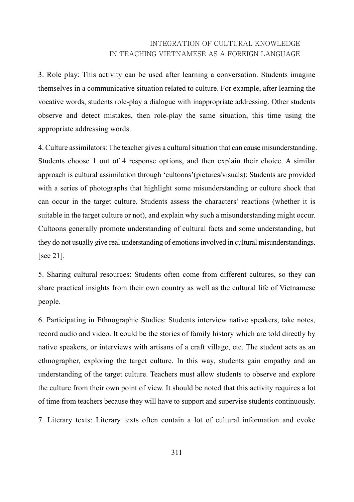3. Role play: This activity can be used after learning a conversation. Students imagine themselves in a communicative situation related to culture. For example, after learning the vocative words, students role-play a dialogue with inappropriate addressing. Other students observe and detect mistakes, then role-play the same situation, this time using the appropriate addressing words.

4. Culture assimilators: The teacher gives a cultural situation that can cause misunderstanding. Students choose 1 out of 4 response options, and then explain their choice. A similar approach is cultural assimilation through 'cultoons'(pictures/visuals): Students are provided with a series of photographs that highlight some misunderstanding or culture shock that can occur in the target culture. Students assess the characters' reactions (whether it is suitable in the target culture or not), and explain why such a misunderstanding might occur. Cultoons generally promote understanding of cultural facts and some understanding, but they do not usually give real understanding of emotions involved in cultural misunderstandings. [see 21].

5. Sharing cultural resources: Students often come from different cultures, so they can share practical insights from their own country as well as the cultural life of Vietnamese people.

6. Participating in Ethnographic Studies: Students interview native speakers, take notes, record audio and video. It could be the stories of family history which are told directly by native speakers, or interviews with artisans of a craft village, etc. The student acts as an ethnographer, exploring the target culture. In this way, students gain empathy and an understanding of the target culture. Teachers must allow students to observe and explore the culture from their own point of view. It should be noted that this activity requires a lot of time from teachers because they will have to support and supervise students continuously.

7. Literary texts: Literary texts often contain a lot of cultural information and evoke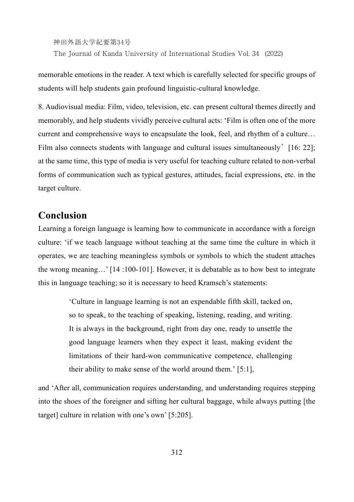神田外語大学紀要第34号 The Journal of Kanda University of International Studies Vol. 34 (2022)

memorable emotions in the reader. A text which is carefully selected for specific groups of students will help students gain profound linguistic-cultural knowledge.

8. Audiovisual media: Film, video, television, etc. can present cultural themes directly and memorably, and help students vividly perceive cultural acts: 'Film is often one of the more current and comprehensive ways to encapsulate the look, feel, and rhythm of a culture... Film also connects students with language and cultural issues simultaneously [16: 22]; at the same time, this type of media is very useful for teaching culture related to non-verbal forms of communication such as typical gestures, attitudes, facial expressions, etc. in the target culture.

# **Conclusion**

Learning a foreign language is learning how to communicate in accordance with a foreign culture: 'if we teach language without teaching at the same time the culture in which it operates, we are teaching meaningless symbols or symbols to which the student attaches the wrong meaning…' [14 :100-101]. However, it is debatable as to how best to integrate this in language teaching; so it is necessary to heed Kramsch's statements:

> 'Culture in language learning is not an expendable fifth skill, tacked on, so to speak, to the teaching of speaking, listening, reading, and writing. It is always in the background, right from day one, ready to unsettle the good language learners when they expect it least, making evident the limitations of their hard-won communicative competence, challenging their ability to make sense of the world around them.' [5:1],

and 'After all, communication requires understanding, and understanding requires stepping into the shoes of the foreigner and sifting her cultural baggage, while always putting [the target] culture in relation with one's own' [5:205].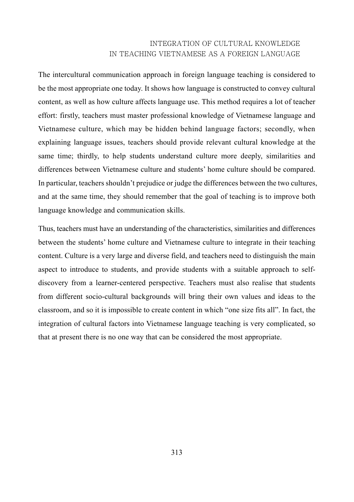The intercultural communication approach in foreign language teaching is considered to be the most appropriate one today. It shows how language is constructed to convey cultural content, as well as how culture affects language use. This method requires a lot of teacher effort: firstly, teachers must master professional knowledge of Vietnamese language and Vietnamese culture, which may be hidden behind language factors; secondly, when explaining language issues, teachers should provide relevant cultural knowledge at the same time; thirdly, to help students understand culture more deeply, similarities and differences between Vietnamese culture and students' home culture should be compared. In particular, teachers shouldn't prejudice or judge the differences between the two cultures, and at the same time, they should remember that the goal of teaching is to improve both language knowledge and communication skills.

Thus, teachers must have an understanding of the characteristics, similarities and differences between the students' home culture and Vietnamese culture to integrate in their teaching content. Culture is a very large and diverse field, and teachers need to distinguish the main aspect to introduce to students, and provide students with a suitable approach to selfdiscovery from a learner-centered perspective. Teachers must also realise that students from different socio-cultural backgrounds will bring their own values and ideas to the classroom, and so it is impossible to create content in which "one size fits all". In fact, the integration of cultural factors into Vietnamese language teaching is very complicated, so that at present there is no one way that can be considered the most appropriate.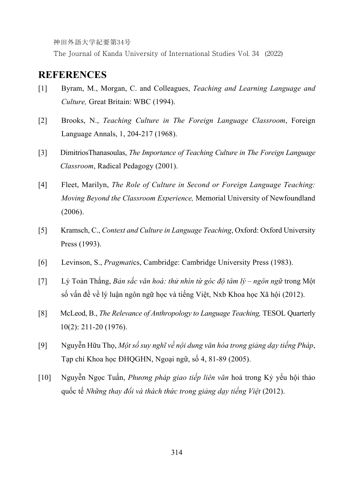The Journal of Kanda University of International Studies Vol. 34 (2022)

# **REFERENCES**

- [1] Byram, M., Morgan, C. and Colleagues, *Teaching and Learning Language and Culture,* Great Britain: WBC (1994).
- [2] Brooks, N., *Teaching Culture in The Foreign Language Classroom*, Foreign Language Annals, 1, 204-217 (1968).
- [3] DimitriosThanasoulas, *The Importance of Teaching Culture in The Foreign Language Classroom*, Radical Pedagogy (2001).
- [4] Fleet, Marilyn, *The Role of Culture in Second or Foreign Language Teaching: Moving Beyond the Classroom Experience,* Memorial University of Newfoundland (2006).
- [5] Kramsch, C., *Context and Culture in Language Teaching*, Oxford: Oxford University Press (1993).
- [6] Levinson, S., *Pragmati*cs, Cambridge: Cambridge University Press (1983).
- [7] Lý Toàn Thắng, *Bản sắc văn hoá: thử nhìn từ góc độ tâm lý ngôn ngữ* trong Một số vấn đề về lý luận ngôn ngữ học và tiếng Việt, Nxb Khoa học Xã hội (2012).
- [8] McLeod, B., *The Relevance of Anthropology to Language Teaching,* TESOL Quarterly 10(2): 211-20 (1976).
- [9] Nguyễn Hữu Thọ, *Một số suy nghĩ về nội dung văn hóa trong giảng dạy tiếng Pháp*, Tạp chí Khoa học ĐHQGHN, Ngoại ngữ, số 4, 81-89 (2005).
- [10] Nguyễn Ngọc Tuấn, *Phương pháp giao tiếp liên văn* hoá trong Kỷ yếu hội thảo quốc tế *Những thay đổi và thách thức trong giảng dạy tiếng Việt* (2012).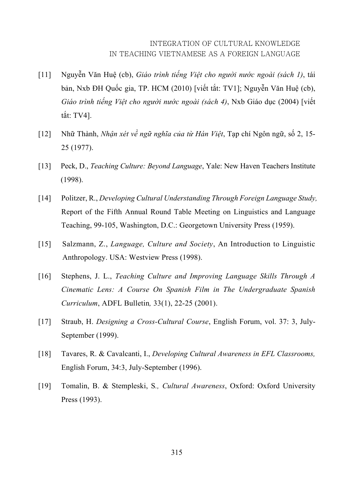- [11] Nguyễn Văn Huệ (cb), *Giáo trình tiếng Việt cho người nước ngoài (sách 1)*, tái bản, Nxb ĐH Quốc gia, TP. HCM (2010) [viết tắt: TV1]; Nguyễn Văn Huệ (cb), *Giáo trình tiếng Việt cho người nước ngoài (sách 4)*, Nxb Giáo dục (2004) [viết tắt: TV4].
- [12] Nhữ Thành, *Nhận xét về ngữ nghĩa của từ Hán Việt*, Tạp chí Ngôn ngữ, số 2, 15- 25 (1977).
- [13] Peck, D., *Teaching Culture: Beyond Language*, Yale: New Haven Teachers Institute (1998).
- [14] Politzer, R., *Developing Cultural Understanding Through Foreign Language Study,* Report of the Fifth Annual Round Table Meeting on Linguistics and Language Teaching, 99-105, Washington, D.C.: Georgetown University Press (1959).
- [15] Salzmann, Z., *Language, Culture and Society*, An Introduction to Linguistic Anthropology. USA: Westview Press (1998).
- [16] Stephens, J. L., *Teaching Culture and Improving Language Skills Through A Cinematic Lens: A Course On Spanish Film in The Undergraduate Spanish Curriculum*, ADFL Bulletin*,* 33(1), 22-25 (2001).
- [17] Straub, H. *Designing a Cross-Cultural Course*, English Forum, vol. 37: 3, July-September (1999).
- [18] Tavares, R. & Cavalcanti, I., *Developing Cultural Awareness in EFL Classrooms,* English Forum, 34:3, July-September (1996).
- [19] Tomalin, B. & Stempleski, S*., Cultural Awareness*, Oxford: Oxford University Press (1993).